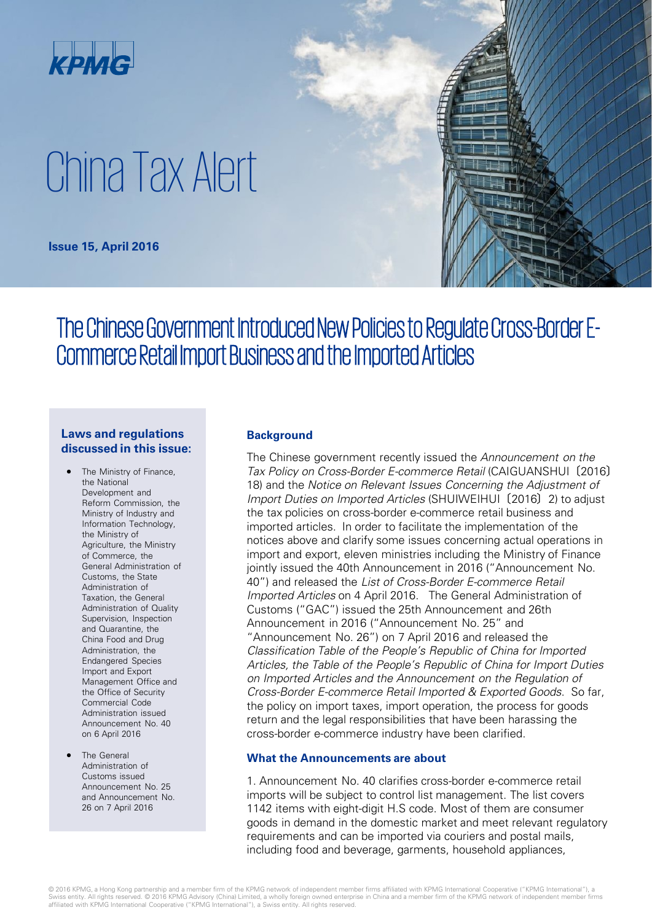

# China Tax Alert

**Issue 15, April 2016**

# The Chinese Government Introduced New Policies to Regulate Cross-Border E- Commerce Retail Import Business and the Imported Articles

# **Laws and regulations discussed in this issue:**

- The Ministry of Finance, the National Development and Reform Commission, the Ministry of Industry and Information Technology, the Ministry of Agriculture, the Ministry of Commerce, the General Administration of Customs, the State Administration of Taxation, the General Administration of Quality Supervision, Inspection and Quarantine, the China Food and Drug Administration, the Endangered Species Import and Export Management Office and the Office of Security Commercial Code Administration issued Announcement No. 40 on 6 April 2016
- The General Administration of Customs issued Announcement No. 25 and Announcement No. 26 on 7 April 2016

# **Background**

The Chinese government recently issued the Announcement on the Tax Policy on Cross-Border E-commerce Retail (CAIGUANSHUI〔2016〕 18) and the Notice on Relevant Issues Concerning the Adjustment of Import Duties on Imported Articles (SHUIWEIHUI〔2016〕2) to adjust the tax policies on cross-border e-commerce retail business and imported articles. In order to facilitate the implementation of the notices above and clarify some issues concerning actual operations in import and export, eleven ministries including the Ministry of Finance jointly issued the 40th Announcement in 2016 ("Announcement No. 40") and released the List of Cross-Border E-commerce Retail Imported Articles on 4 April 2016. The General Administration of Customs ("GAC") issued the 25th Announcement and 26th Announcement in 2016 ("Announcement No. 25" and "Announcement No. 26") on 7 April 2016 and released the Classification Table of the People's Republic of China for Imported Articles, the Table of the People's Republic of China for Import Duties on Imported Articles and the Announcement on the Regulation of Cross-Border E-commerce Retail Imported & Exported Goods. So far, the policy on import taxes, import operation, the process for goods return and the legal responsibilities that have been harassing the cross-border e-commerce industry have been clarified.

# **What the Announcements are about**

1. Announcement No. 40 clarifies cross-border e-commerce retail imports will be subject to control list management. The list covers 1142 items with eight-digit H.S code. Most of them are consumer goods in demand in the domestic market and meet relevant regulatory requirements and can be imported via couriers and postal mails, including food and beverage, garments, household appliances,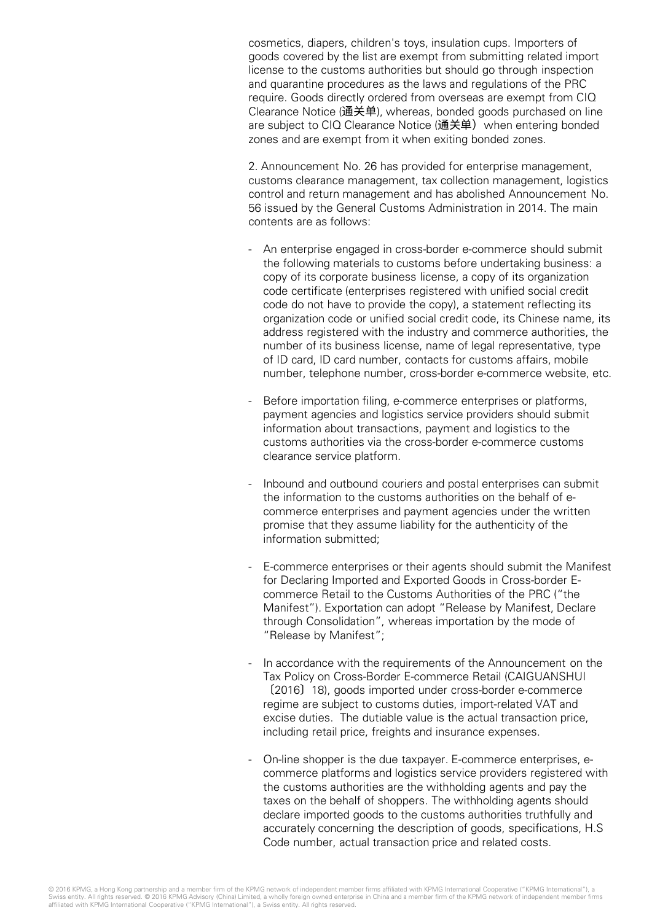cosmetics, diapers, children's toys, insulation cups. Importers of goods covered by the list are exempt from submitting related import license to the customs authorities but should go through inspection and quarantine procedures as the laws and regulations of the PRC require. Goods directly ordered from overseas are exempt from CIQ Clearance Notice (通关单), whereas, bonded goods purchased on line are subject to CIQ Clearance Notice (通关单) when entering bonded zones and are exempt from it when exiting bonded zones.

2. Announcement No. 26 has provided for enterprise management, customs clearance management, tax collection management, logistics control and return management and has abolished Announcement No. 56 issued by the General Customs Administration in 2014. The main contents are as follows:

- An enterprise engaged in cross-border e-commerce should submit the following materials to customs before undertaking business: a copy of its corporate business license, a copy of its organization code certificate (enterprises registered with unified social credit code do not have to provide the copy), a statement reflecting its organization code or unified social credit code, its Chinese name, its address registered with the industry and commerce authorities, the number of its business license, name of legal representative, type of ID card, ID card number, contacts for customs affairs, mobile number, telephone number, cross-border e-commerce website, etc.
- Before importation filing, e-commerce enterprises or platforms, payment agencies and logistics service providers should submit information about transactions, payment and logistics to the customs authorities via the cross-border e-commerce customs clearance service platform.
- Inbound and outbound couriers and postal enterprises can submit the information to the customs authorities on the behalf of ecommerce enterprises and payment agencies under the written promise that they assume liability for the authenticity of the information submitted;
- E-commerce enterprises or their agents should submit the Manifest for Declaring Imported and Exported Goods in Cross-border Ecommerce Retail to the Customs Authorities of the PRC ("the Manifest"). Exportation can adopt "Release by Manifest, Declare through Consolidation", whereas importation by the mode of "Release by Manifest";
- In accordance with the requirements of the Announcement on the Tax Policy on Cross-Border E-commerce Retail (CAIGUANSHUI 〔2016〕18), goods imported under cross-border e-commerce regime are subject to customs duties, import-related VAT and excise duties. The dutiable value is the actual transaction price, including retail price, freights and insurance expenses.
- On-line shopper is the due taxpayer. E-commerce enterprises, ecommerce platforms and logistics service providers registered with the customs authorities are the withholding agents and pay the taxes on the behalf of shoppers. The withholding agents should declare imported goods to the customs authorities truthfully and accurately concerning the description of goods, specifications, H.S Code number, actual transaction price and related costs.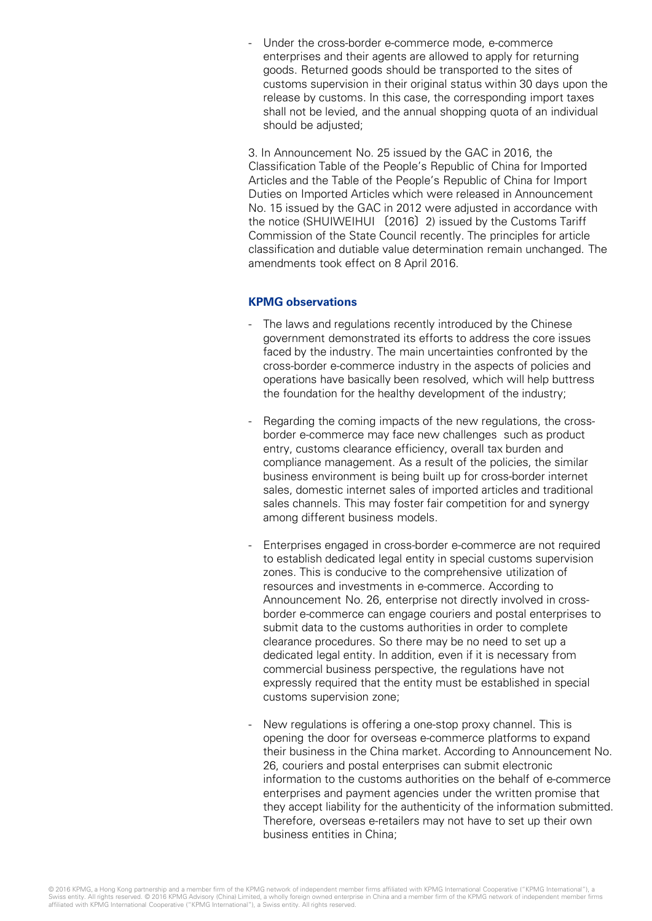- Under the cross-border e-commerce mode, e-commerce enterprises and their agents are allowed to apply for returning goods. Returned goods should be transported to the sites of customs supervision in their original status within 30 days upon the release by customs. In this case, the corresponding import taxes shall not be levied, and the annual shopping quota of an individual should be adjusted;

3. In Announcement No. 25 issued by the GAC in 2016, the Classification Table of the People's Republic of China for Imported Articles and the Table of the People's Republic of China for Import Duties on Imported Articles which were released in Announcement No. 15 issued by the GAC in 2012 were adjusted in accordance with the notice (SHUIWEIHUI 〔2016〕2) issued by the Customs Tariff Commission of the State Council recently. The principles for article classification and dutiable value determination remain unchanged. The amendments took effect on 8 April 2016.

# **KPMG observations**

- The laws and regulations recently introduced by the Chinese government demonstrated its efforts to address the core issues faced by the industry. The main uncertainties confronted by the cross-border e-commerce industry in the aspects of policies and operations have basically been resolved, which will help buttress the foundation for the healthy development of the industry;
- Regarding the coming impacts of the new regulations, the crossborder e-commerce may face new challenges such as product entry, customs clearance efficiency, overall tax burden and compliance management. As a result of the policies, the similar business environment is being built up for cross-border internet sales, domestic internet sales of imported articles and traditional sales channels. This may foster fair competition for and synergy among different business models.
- Enterprises engaged in cross-border e-commerce are not required to establish dedicated legal entity in special customs supervision zones. This is conducive to the comprehensive utilization of resources and investments in e-commerce. According to Announcement No. 26, enterprise not directly involved in crossborder e-commerce can engage couriers and postal enterprises to submit data to the customs authorities in order to complete clearance procedures. So there may be no need to set up a dedicated legal entity. In addition, even if it is necessary from commercial business perspective, the regulations have not expressly required that the entity must be established in special customs supervision zone;
- New regulations is offering a one-stop proxy channel. This is opening the door for overseas e-commerce platforms to expand their business in the China market. According to Announcement No. 26, couriers and postal enterprises can submit electronic information to the customs authorities on the behalf of e-commerce enterprises and payment agencies under the written promise that they accept liability for the authenticity of the information submitted. Therefore, overseas e-retailers may not have to set up their own business entities in China;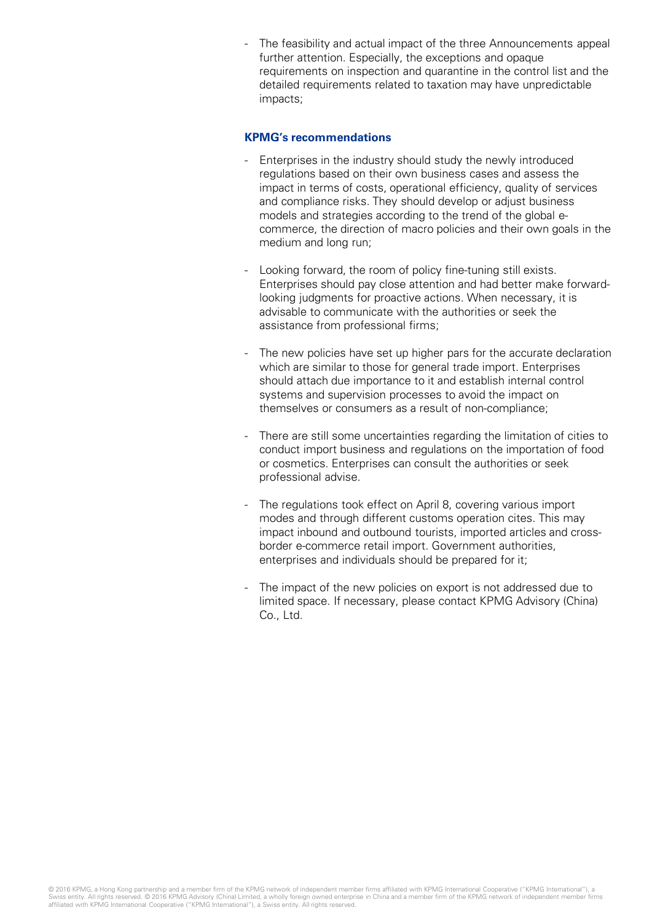- The feasibility and actual impact of the three Announcements appeal further attention. Especially, the exceptions and opaque requirements on inspection and quarantine in the control list and the detailed requirements related to taxation may have unpredictable impacts;

# **KPMG's recommendations**

- Enterprises in the industry should study the newly introduced regulations based on their own business cases and assess the impact in terms of costs, operational efficiency, quality of services and compliance risks. They should develop or adjust business models and strategies according to the trend of the global ecommerce, the direction of macro policies and their own goals in the medium and long run;
- Looking forward, the room of policy fine-tuning still exists. Enterprises should pay close attention and had better make forwardlooking judgments for proactive actions. When necessary, it is advisable to communicate with the authorities or seek the assistance from professional firms;
- The new policies have set up higher pars for the accurate declaration which are similar to those for general trade import. Enterprises should attach due importance to it and establish internal control systems and supervision processes to avoid the impact on themselves or consumers as a result of non-compliance;
- There are still some uncertainties regarding the limitation of cities to conduct import business and regulations on the importation of food or cosmetics. Enterprises can consult the authorities or seek professional advise.
- The regulations took effect on April 8, covering various import modes and through different customs operation cites. This may impact inbound and outbound tourists, imported articles and crossborder e-commerce retail import. Government authorities, enterprises and individuals should be prepared for it;
- The impact of the new policies on export is not addressed due to limited space. If necessary, please contact KPMG Advisory (China) Co., Ltd.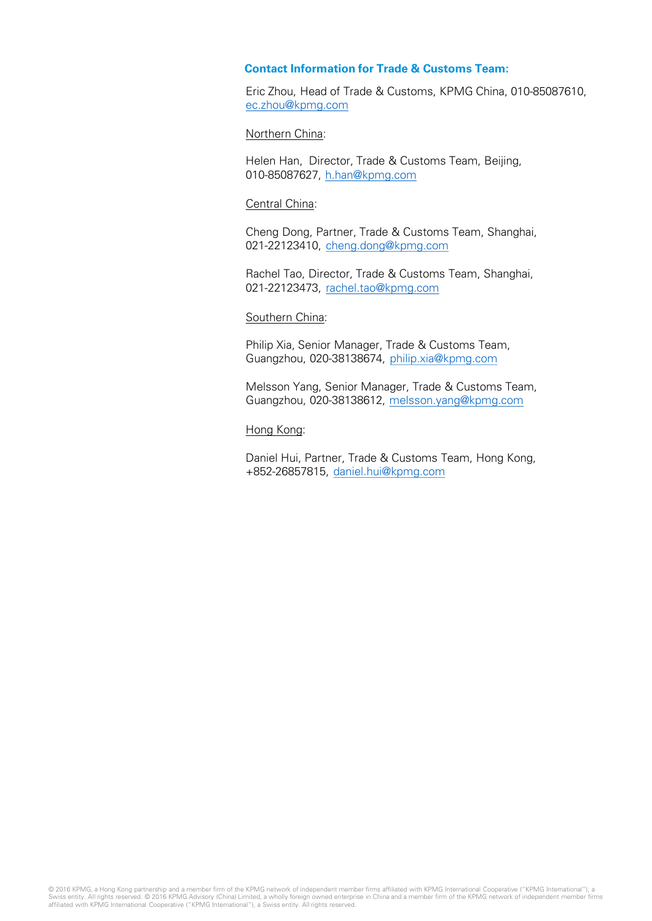# **Contact Information for Trade & Customs Team:**

Eric Zhou, Head of Trade & Customs, KPMG China, 010-85087610, [ec.zhou@kpmg.com](mailto:ec.zhou@kpmg.com)

# Northern China:

Helen Han, Director, Trade & Customs Team, Beijing, 010-85087627, [h.han@kpmg.com](mailto:h.han@kpmg.com)

## Central China:

Cheng Dong, Partner, Trade & Customs Team, Shanghai, 021-22123410, [cheng.dong@kpmg.com](mailto:cheng.dong@kpmg.com)

Rachel Tao, Director, Trade & Customs Team, Shanghai, 021-22123473, [rachel.tao@kpmg.com](mailto:rachel.tao@kpmg.com)

## Southern China:

Philip Xia, Senior Manager, Trade & Customs Team, Guangzhou, 020-38138674, [philip.xia@kpmg.com](mailto:philip.xia@kpmg.com)

Melsson Yang, Senior Manager, Trade & Customs Team, Guangzhou, 020-38138612, [melsson.yang@kpmg.com](mailto:melsson.yang@kpmg.com)

## Hong Kong:

Daniel Hui, Partner, Trade & Customs Team, Hong Kong, +852-26857815, [daniel.hui@kpmg.com](mailto:daniel.hui@kpmg.com)